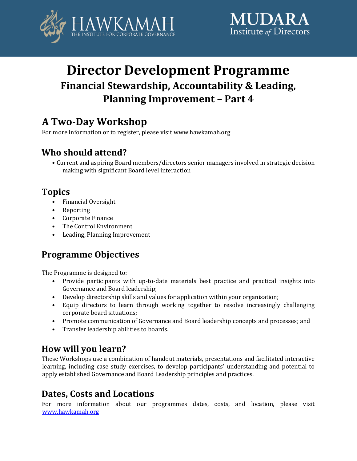



# **Director Development Programme Financial Stewardship, Accountability & Leading, Planning Improvement – Part 4**

# **A Two-Day Workshop**

For more information or to register, please visit www.hawkamah.org

# **Who should attend?**

• Current and aspiring Board members/directors senior managers involved in strategic decision making with significant Board level interaction

## **Topics**

- Financial Oversight
- Reporting
- Corporate Finance
- The Control Environment
- Leading, Planning Improvement

# **Programme Objectives**

The Programme is designed to:

- Provide participants with up-to-date materials best practice and practical insights into Governance and Board leadership;
- Develop directorship skills and values for application within your organisation;
- Equip directors to learn through working together to resolve increasingly challenging corporate board situations;
- Promote communication of Governance and Board leadership concepts and processes; and
- Transfer leadership abilities to boards.

# **How will you learn?**

These Workshops use a combination of handout materials, presentations and facilitated interactive learning, including case study exercises, to develop participants' understanding and potential to apply established Governance and Board Leadership principles and practices.

## **Dates, Costs and Locations**

For more information about our programmes dates, costs, and location, please visit [www.hawkamah.org](http://www.hawkamah.org/)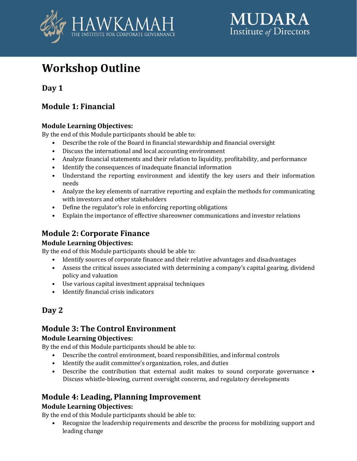



# **Workshop Outline**

**Day 1** 

### **Module 1: Financial**

#### **Module Learning Objectives:**

By the end of this Module participants should be able to:

- Describe the role of the Board in financial stewardship and financial oversight
- Discuss the international and local accounting environment
- Analyze financial statements and their relation to liquidity, profitability, and performance
- Identify the consequences of inadequate financial information
- Understand the reporting environment and identify the key users and their information needs
- Analyze the key elements of narrative reporting and explain the methods for communicating with investors and other stakeholders
- Define the regulator's role in enforcing reporting obligations
- Explain the importance of effective shareowner communications and investor relations

### **Module 2: Corporate Finance**

#### **Module Learning Objectives:**

By the end of this Module participants should be able to:

- Identify sources of corporate finance and their relative advantages and disadvantages
- Assess the critical issues associated with determining a company's capital gearing, dividend policy and valuation
- Use various capital investment appraisal techniques
- Identify financial crisis indicators

### **Day 2**

### **Module 3: The Control Environment**

#### **Module Learning Objectives:**

By the end of this Module participants should be able to:

- Describe the control environment, board responsibilities, and informal controls
- Identify the audit committee's organization, roles, and duties
- Describe the contribution that external audit makes to sound corporate governance Discuss whistle-blowing, current oversight concerns, and regulatory developments

### **Module 4: Leading, Planning Improvement**

#### **Module Learning Objectives:**

By the end of this Module participants should be able to:

• Recognize the leadership requirements and describe the process for mobilizing support and leading change